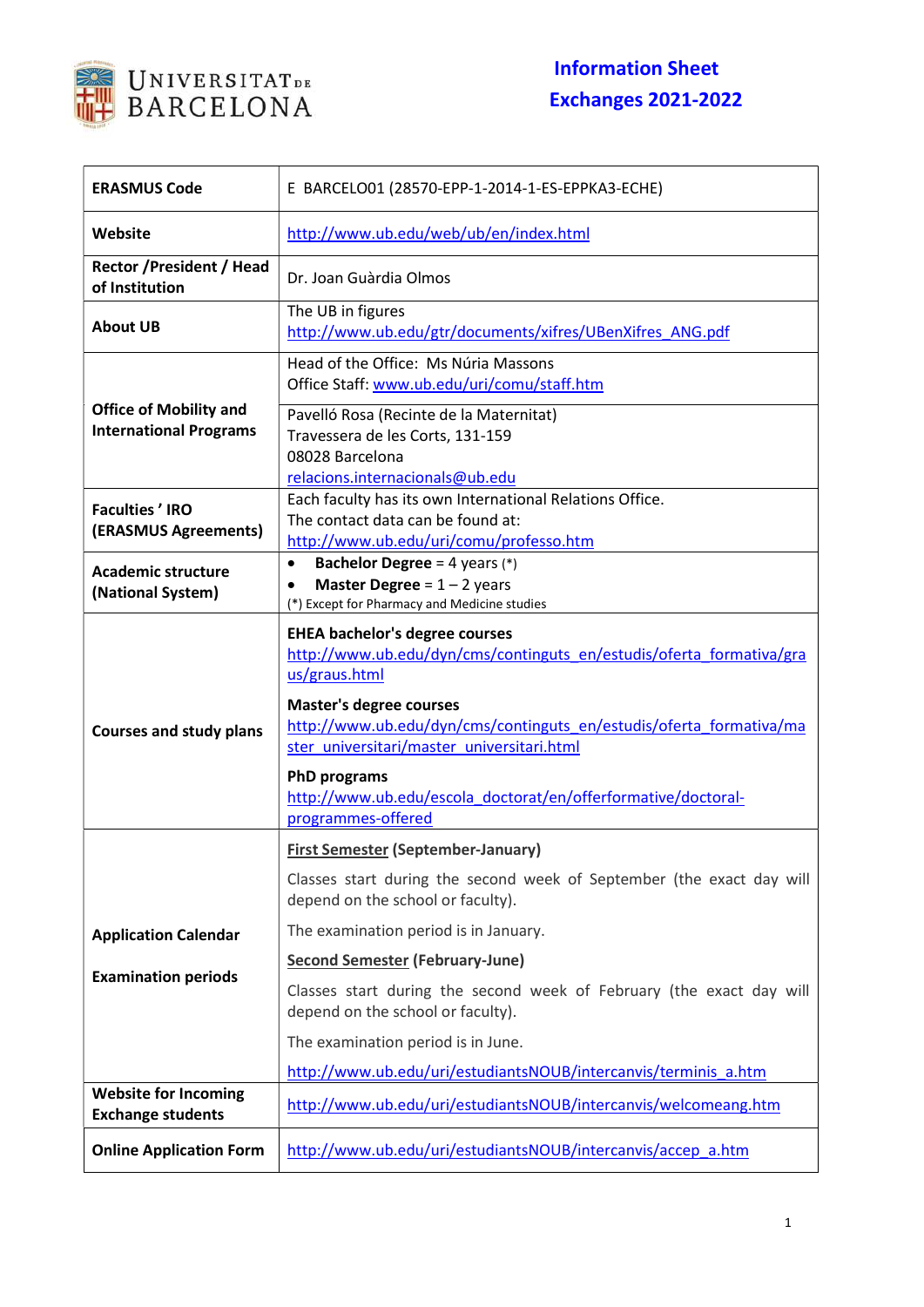

## Information Sheet Exchanges 2021-2022

| <b>ERASMUS Code</b>                                            | E BARCELO01 (28570-EPP-1-2014-1-ES-EPPKA3-ECHE)                                                                                                                                                                                         |
|----------------------------------------------------------------|-----------------------------------------------------------------------------------------------------------------------------------------------------------------------------------------------------------------------------------------|
| Website                                                        | http://www.ub.edu/web/ub/en/index.html                                                                                                                                                                                                  |
| <b>Rector / President / Head</b><br>of Institution             | Dr. Joan Guàrdia Olmos                                                                                                                                                                                                                  |
| <b>About UB</b>                                                | The UB in figures<br>http://www.ub.edu/gtr/documents/xifres/UBenXifres ANG.pdf                                                                                                                                                          |
|                                                                | Head of the Office: Ms Núria Massons<br>Office Staff: www.ub.edu/uri/comu/staff.htm                                                                                                                                                     |
| <b>Office of Mobility and</b><br><b>International Programs</b> | Pavelló Rosa (Recinte de la Maternitat)<br>Travessera de les Corts, 131-159<br>08028 Barcelona<br>relacions.internacionals@ub.edu                                                                                                       |
| <b>Faculties' IRO</b><br>(ERASMUS Agreements)                  | Each faculty has its own International Relations Office.<br>The contact data can be found at:<br>http://www.ub.edu/uri/comu/professo.htm                                                                                                |
| <b>Academic structure</b><br>(National System)                 | <b>Bachelor Degree</b> = 4 years $(*)$<br>$\bullet$<br><b>Master Degree = <math>1 - 2</math> years</b><br>(*) Except for Pharmacy and Medicine studies                                                                                  |
| <b>Courses and study plans</b>                                 | <b>EHEA bachelor's degree courses</b><br>http://www.ub.edu/dyn/cms/continguts en/estudis/oferta formativa/gra<br>us/graus.html<br><b>Master's degree courses</b><br>http://www.ub.edu/dyn/cms/continguts en/estudis/oferta formativa/ma |
|                                                                | ster universitari/master universitari.html<br><b>PhD programs</b><br>http://www.ub.edu/escola_doctorat/en/offerformative/doctoral-<br>programmes-offered                                                                                |
|                                                                | <b>First Semester (September-January)</b>                                                                                                                                                                                               |
|                                                                | Classes start during the second week of September (the exact day will<br>depend on the school or faculty).                                                                                                                              |
| <b>Application Calendar</b>                                    | The examination period is in January.                                                                                                                                                                                                   |
|                                                                | <b>Second Semester (February-June)</b>                                                                                                                                                                                                  |
| <b>Examination periods</b>                                     | Classes start during the second week of February (the exact day will<br>depend on the school or faculty).                                                                                                                               |
|                                                                | The examination period is in June.                                                                                                                                                                                                      |
|                                                                | http://www.ub.edu/uri/estudiantsNOUB/intercanvis/terminis a.htm                                                                                                                                                                         |
| <b>Website for Incoming</b><br><b>Exchange students</b>        | http://www.ub.edu/uri/estudiantsNOUB/intercanvis/welcomeang.htm                                                                                                                                                                         |
| <b>Online Application Form</b>                                 | http://www.ub.edu/uri/estudiantsNOUB/intercanvis/accep_a.htm                                                                                                                                                                            |